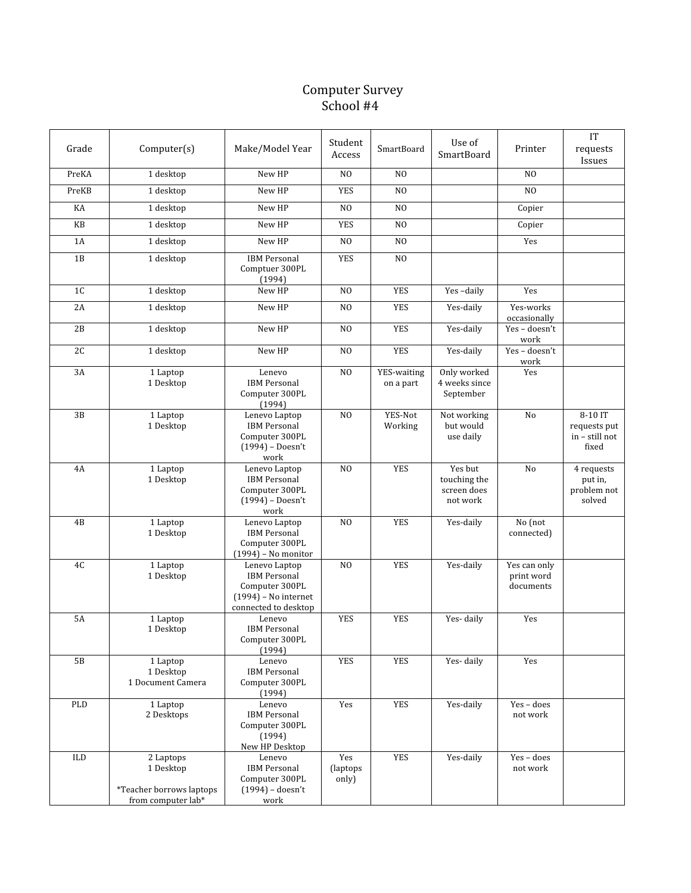## Computer Survey School #4

| Grade     | Computer(s)                                                              | Make/Model Year                                                                                          | Student<br>Access         | SmartBoard               | Use of<br>SmartBoard                               | Printer                                 | IT<br>requests<br>Issues                           |
|-----------|--------------------------------------------------------------------------|----------------------------------------------------------------------------------------------------------|---------------------------|--------------------------|----------------------------------------------------|-----------------------------------------|----------------------------------------------------|
| PreKA     | $1$ desktop                                                              | New HP                                                                                                   | NO                        | $_{\rm NO}$              |                                                    | N <sub>O</sub>                          |                                                    |
| PreKB     | 1 desktop                                                                | New HP                                                                                                   | <b>YES</b>                | N <sub>O</sub>           |                                                    | N <sub>O</sub>                          |                                                    |
| KA        | 1 desktop                                                                | New HP                                                                                                   | N <sub>O</sub>            | N <sub>O</sub>           |                                                    | Copier                                  |                                                    |
| KB        | 1 desktop                                                                | New HP                                                                                                   | <b>YES</b>                | N <sub>O</sub>           |                                                    | Copier                                  |                                                    |
| 1A        | 1 desktop                                                                | New HP                                                                                                   | N <sub>O</sub>            | N <sub>O</sub>           |                                                    | Yes                                     |                                                    |
| 1B        | 1 desktop                                                                | <b>IBM Personal</b><br>Comptuer 300PL<br>(1994)                                                          | <b>YES</b>                | N <sub>O</sub>           |                                                    |                                         |                                                    |
| 1C        | 1 desktop                                                                | New HP                                                                                                   | N <sub>O</sub>            | <b>YES</b>               | Yes-daily                                          | Yes                                     |                                                    |
| 2A        | 1 desktop                                                                | New HP                                                                                                   | N <sub>O</sub>            | <b>YES</b>               | Yes-daily                                          | Yes-works<br>occasionally               |                                                    |
| 2B        | 1 desktop                                                                | New HP                                                                                                   | N <sub>O</sub>            | <b>YES</b>               | Yes-daily                                          | Yes-doesn't<br>work                     |                                                    |
| 2C        | 1 desktop                                                                | New HP                                                                                                   | N <sub>O</sub>            | <b>YES</b>               | Yes-daily                                          | Yes-doesn't<br>work                     |                                                    |
| 3A        | 1 Laptop<br>1 Desktop                                                    | Lenevo<br><b>IBM</b> Personal<br>Computer 300PL<br>(1994)                                                | N <sub>O</sub>            | YES-waiting<br>on a part | Only worked<br>4 weeks since<br>September          | Yes                                     |                                                    |
| 3B        | 1 Laptop<br>1 Desktop                                                    | Lenevo Laptop<br><b>IBM</b> Personal<br>Computer 300PL<br>(1994) - Doesn't<br>work                       | N <sub>O</sub>            | YES-Not<br>Working       | Not working<br>but would<br>use daily              | No                                      | 8-10 IT<br>requests put<br>in - still not<br>fixed |
| 4A        | 1 Laptop<br>1 Desktop                                                    | Lenevo Laptop<br><b>IBM Personal</b><br>Computer 300PL<br>$(1994)$ – Doesn't<br>work                     | N <sub>O</sub>            | <b>YES</b>               | Yes but<br>touching the<br>screen does<br>not work | No                                      | 4 requests<br>put in,<br>problem not<br>solved     |
| 4B        | 1 Laptop<br>1 Desktop                                                    | Lenevo Laptop<br><b>IBM</b> Personal<br>Computer 300PL<br>$(1994)$ – No monitor                          | N <sub>O</sub>            | <b>YES</b>               | Yes-daily                                          | No (not<br>connected)                   |                                                    |
| 4C        | 1 Laptop<br>1 Desktop                                                    | Lenevo Laptop<br><b>IBM</b> Personal<br>Computer 300PL<br>$(1994)$ – No internet<br>connected to desktop | N <sub>0</sub>            | <b>YES</b>               | Yes-daily                                          | Yes can only<br>print word<br>documents |                                                    |
| <b>5A</b> | 1 Laptop<br>1 Desktop                                                    | Lenevo<br><b>IBM</b> Personal<br>Computer 300PL<br>(1994)                                                | <b>YES</b>                | <b>YES</b>               | Yes-daily                                          | Yes                                     |                                                    |
| 5B        | 1 Laptop<br>1 Desktop<br>1 Document Camera                               | Lenevo<br><b>IBM Personal</b><br>Computer 300PL<br>(1994)                                                | <b>YES</b>                | <b>YES</b>               | Yes-daily                                          | Yes                                     |                                                    |
| PLD       | 1 Laptop<br>2 Desktops                                                   | Lenevo<br><b>IBM</b> Personal<br>Computer 300PL<br>(1994)<br>New HP Desktop                              | Yes                       | <b>YES</b>               | Yes-daily                                          | Yes - does<br>not work                  |                                                    |
| ILD       | 2 Laptops<br>1 Desktop<br>*Teacher borrows laptops<br>from computer lab* | Lenevo<br><b>IBM Personal</b><br>Computer 300PL<br>$(1994) - doesn't$<br>work                            | Yes<br>(laptops)<br>only) | <b>YES</b>               | Yes-daily                                          | Yes - does<br>not work                  |                                                    |